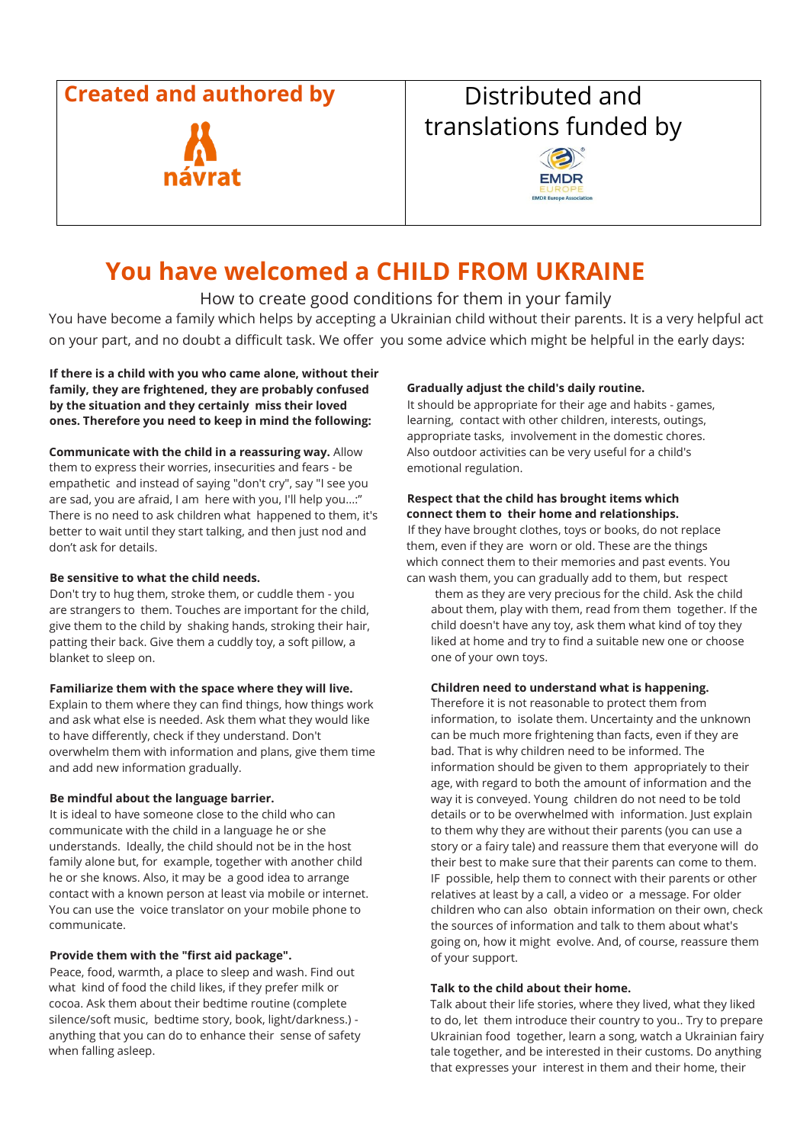### **Created and authored by Created and Busical Busic Excepts**



# translations funded by



## **You have welcomed a CHILD FROM UKRAINE**

#### How to create good conditions for them in your family

You have become a family which helps by accepting a Ukrainian child without their parents. It is a very helpful act on your part, and no doubt a difficult task. We offer you some advice which might be helpful in the early days:

**If there is a child with you who came alone, without their family, they are frightened, they are probably confused by the situation and they certainly miss their loved ones. Therefore you need to keep in mind the following:** 

**Communicate with the child in a reassuring way.** Allow them to express their worries, insecurities and fears - be empathetic and instead of saying "don't cry", say "I see you are sad, you are afraid, I am here with you, I'll help you...:" There is no need to ask children what happened to them, it's better to wait until they start talking, and then just nod and don't ask for details.

#### **Be sensitive to what the child needs.**

Don't try to hug them, stroke them, or cuddle them - you are strangers to them. Touches are important for the child, give them to the child by shaking hands, stroking their hair, patting their back. Give them a cuddly toy, a soft pillow, a blanket to sleep on.

#### **Familiarize them with the space where they will live.**

Explain to them where they can find things, how things work and ask what else is needed. Ask them what they would like to have differently, check if they understand. Don't overwhelm them with information and plans, give them time and add new information gradually.

#### **Be mindful about the language barrier.**

It is ideal to have someone close to the child who can communicate with the child in a language he or she understands. Ideally, the child should not be in the host family alone but, for example, together with another child he or she knows. Also, it may be a good idea to arrange contact with a known person at least via mobile or internet. You can use the voice translator on your mobile phone to communicate.

#### **Provide them with the "first aid package".**

Peace, food, warmth, a place to sleep and wash. Find out what kind of food the child likes, if they prefer milk or cocoa. Ask them about their bedtime routine (complete silence/soft music, bedtime story, book, light/darkness.) anything that you can do to enhance their sense of safety when falling asleep.

#### **Gradually adjust the child's daily routine.**

It should be appropriate for their age and habits - games, learning, contact with other children, interests, outings, appropriate tasks, involvement in the domestic chores. Also outdoor activities can be very useful for a child's emotional regulation.

#### **Respect that the child has brought items which connect them to their home and relationships.**

If they have brought clothes, toys or books, do not replace them, even if they are worn or old. These are the things which connect them to their memories and past events. You can wash them, you can gradually add to them, but respect

them as they are very precious for the child. Ask the child about them, play with them, read from them together. If the child doesn't have any toy, ask them what kind of toy they liked at home and try to find a suitable new one or choose one of your own toys.

#### **Children need to understand what is happening.**

Therefore it is not reasonable to protect them from information, to isolate them. Uncertainty and the unknown can be much more frightening than facts, even if they are bad. That is why children need to be informed. The information should be given to them appropriately to their age, with regard to both the amount of information and the way it is conveyed. Young children do not need to be told details or to be overwhelmed with information. Just explain to them why they are without their parents (you can use a story or a fairy tale) and reassure them that everyone will do their best to make sure that their parents can come to them. IF possible, help them to connect with their parents or other relatives at least by a call, a video or a message. For older children who can also obtain information on their own, check the sources of information and talk to them about what's going on, how it might evolve. And, of course, reassure them of your support.

#### **Talk to the child about their home.**

Talk about their life stories, where they lived, what they liked to do, let them introduce their country to you.. Try to prepare Ukrainian food together, learn a song, watch a Ukrainian fairy tale together, and be interested in their customs. Do anything that expresses your interest in them and their home, their